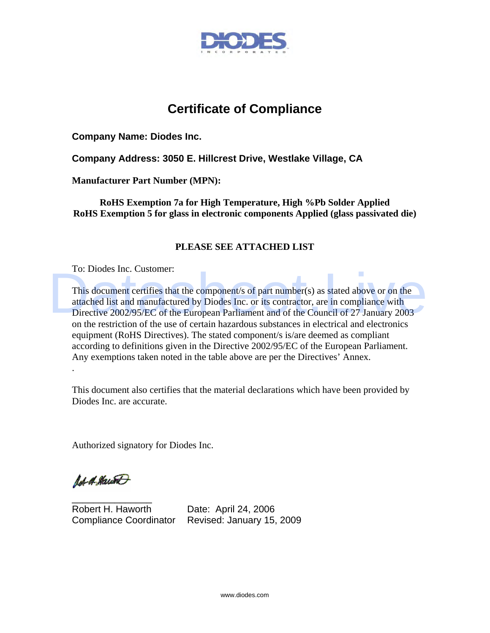

## **Certificate of Compliance**

**Company Name: Diodes Inc.** 

**Company Address: 3050 E. Hillcrest Drive, Westlake Village, CA** 

**Manufacturer Part Number (MPN):** 

**RoHS Exemption 7a for High Temperature, High %Pb Solder Applied RoHS Exemption 5 for glass in electronic components Applied (glass passivated die)** 

## **PLEASE SEE ATTACHED LIST**

To: Diodes Inc. Customer:

This document certifies that the component/s of part number(s) as stated above or on the attached list and manufactured by Diodes Inc. or its contractor, are in compliance with Directive 2002/95/EC of the European Parliament and of the Council of 27 January 2003 on the restriction of the use of certain hazardous substances in electrical and electronics equipment (RoHS Directives). The stated component/s is/are deemed as compliant according to definitions given in the Directive 2002/95/EC of the European Parliament. Any exemptions taken noted in the table above are per the Directives' Annex. This document certifies that the component/s of part number(s) as stated above or on the<br>attached list and manufactured by Diodes Inc. or its contractor, are in compliance with<br>Directive 2002/95/EC of the European Parliame

This document also certifies that the material declarations which have been provided by Diodes Inc. are accurate.

Authorized signatory for Diodes Inc.

Ad of Hawk

.

 $\overline{\phantom{a}}$  , where  $\overline{\phantom{a}}$  , where  $\overline{\phantom{a}}$  , where  $\overline{\phantom{a}}$ 

Robert H. Haworth Date: April 24, 2006 Compliance Coordinator Revised: January 15, 2009